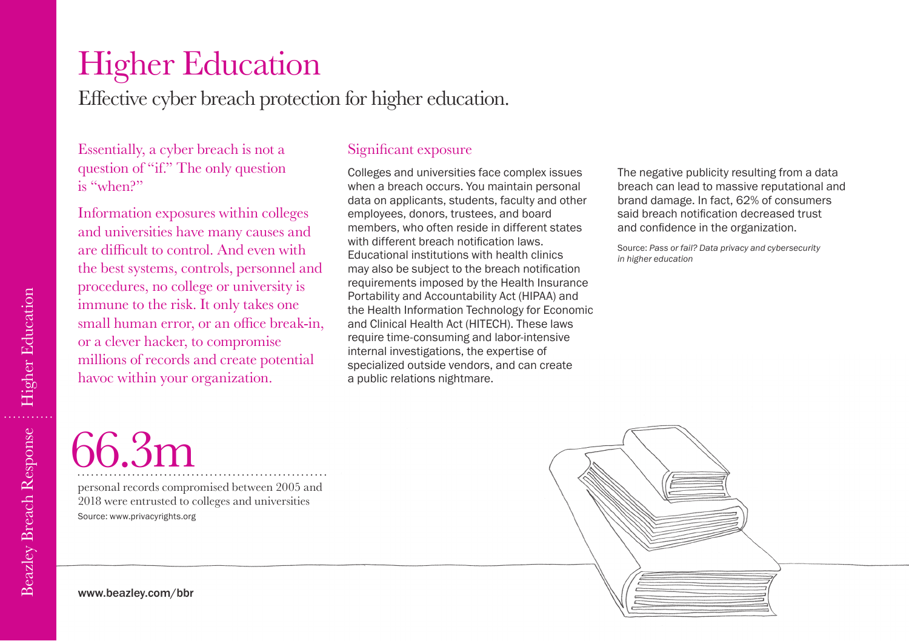# Higher Education

Effective cyber breach protection for higher education.

Essentially, a cyber breach is not a question of "if." The only question is "when?"

Information exposures within colleges and universities have many causes and are difficult to control. And even with the best systems, controls, personnel and procedures, no college or university is immune to the risk. It only takes one small human error, or an office break-in, or a clever hacker, to compromise millions of records and create potential havoc within your organization.

### Significant exposure

Colleges and universities face complex issues when a breach occurs. You maintain personal data on applicants, students, faculty and other employees, donors, trustees, and board members, who often reside in different states with different breach notification laws. Educational institutions with health clinics may also be subject to the breach notification requirements imposed by the Health Insurance Portability and Accountability Act (HIPAA) and the Health Information Technology for Economic and Clinical Health Act (HITECH). These laws require time-consuming and labor-intensive internal investigations, the expertise of specialized outside vendors, and can create a public relations nightmare.

The negative publicity resulting from a data breach can lead to massive reputational and brand damage. In fact, 62% of consumers said breach notification decreased trust and confidence in the organization.

Source: *Pass or fail? Data privacy and cybersecurity in higher education*

# 66.3m

personal records compromised between 2005 and 2018 were entrusted to colleges and universities Source: www.privacyrights.org

www.beazley.com/bbr

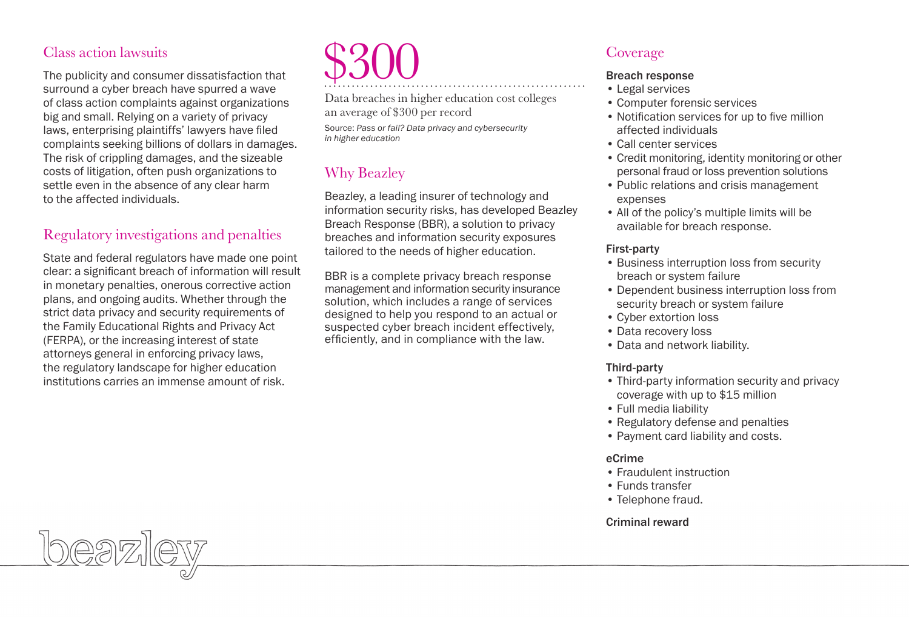## Class action lawsuits

The publicity and consumer dissatisfaction that surround a cyber breach have spurred a wave of class action complaints against organizations big and small. Relying on a variety of privacy laws, enterprising plaintiffs' lawyers have filed complaints seeking billions of dollars in damages. The risk of crippling damages, and the sizeable costs of litigation, often push organizations to settle even in the absence of any clear harm to the affected individuals.

# Regulatory investigations and penalties

State and federal regulators have made one point clear: a significant breach of information will result in monetary penalties, onerous corrective action plans, and ongoing audits. Whether through the strict data privacy and security requirements of the Family Educational Rights and Privacy Act (FERPA), or the increasing interest of state attorneys general in enforcing privacy laws, the regulatory landscape for higher education institutions carries an immense amount of risk.

# \$300

Data breaches in higher education cost colleges an average of \$300 per record Source: *Pass or fail? Data privacy and cybersecurity* 

*in higher education*

# Why Beazley

Beazley, a leading insurer of technology and information security risks, has developed Beazley Breach Response (BBR), a solution to privacy breaches and information security exposures tailored to the needs of higher education.

BBR is a complete privacy breach response management and information security insurance solution, which includes a range of services designed to help you respond to an actual or suspected cyber breach incident effectively, efficiently, and in compliance with the law.

# Coverage

#### Breach response

- Legal services
- Computer forensic services
- Notification services for up to five million affected individuals
- Call center services
- Credit monitoring, identity monitoring or other personal fraud or loss prevention solutions
- Public relations and crisis management expenses
- All of the policy's multiple limits will be available for breach response.

#### First-party

- Business interruption loss from security breach or system failure
- Dependent business interruption loss from security breach or system failure
- Cyber extortion loss
- Data recovery loss
- Data and network liability.

#### Third-party

- Third-party information security and privacy coverage with up to \$15 million
- Full media liability
- Regulatory defense and penalties
- Payment card liability and costs.

#### eCrime

- Fraudulent instruction
- Funds transfer
- Telephone fraud.

#### Criminal reward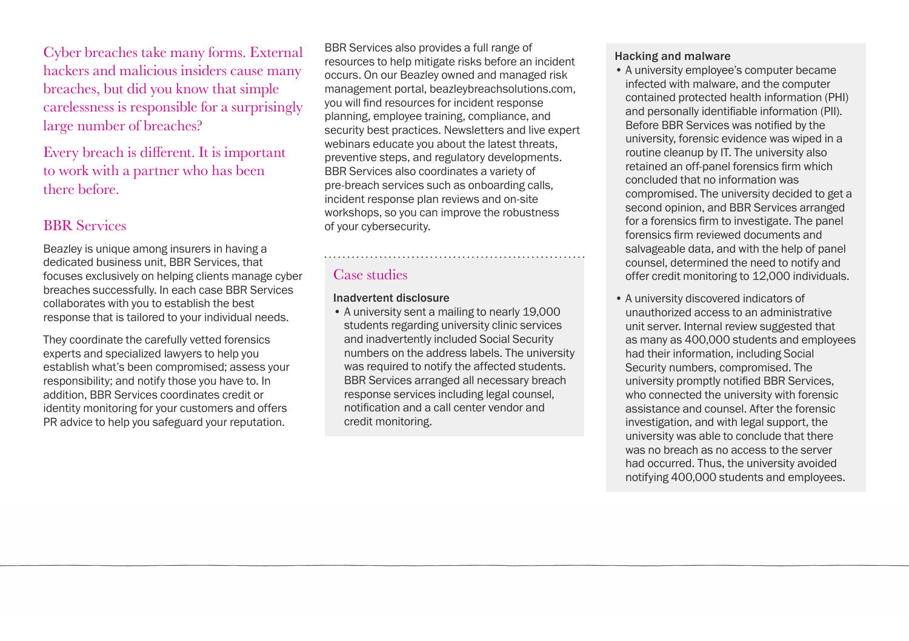Cyber breaches take many forms. External hackers and malicious insiders cause many breaches, but did you know that simple carelessness is responsible for a surprisingly large number of breaches?

Every breach is different. It is important to work with a partner who has been there before.

# BBR Services

Beazley is unique among insurers in having a dedicated business unit, BBR Services, that focuses exclusively on helping clients manage cyber breaches successfully. In each case BBR Services collaborates with you to establish the best response that is tailored to your individual needs.

They coordinate the carefully vetted forensics experts and specialized lawyers to help you establish what's been compromised; assess your responsibility; and notify those you have to. In addition, BBR Services coordinates credit or identity monitoring for your customers and offers PR advice to help you safeguard your reputation.

BBR Services also provides a full range of resources to help mitigate risks before an incident occurs. On our Beazley owned and managed risk management portal, beazleybreachsolutions.com, you will find resources for incident response planning, employee training, compliance, and security best practices. Newsletters and live expert webinars educate you about the latest threats. preventive steps, and regulatory developments. BBR Services also coordinates a variety of pre-breach services such as onboarding calls, incident response plan reviews and on-site workshops, so you can improve the robustness of your cybersecurity.

# Case studies

#### Inadvertent disclosure

• A university sent a mailing to nearly 19,000 students regarding university clinic services and inadvertently included Social Security numbers on the address labels. The university was required to notify the affected students. BBR Services arranged all necessary breach response services including legal counsel, notification and a call center vendor and credit monitoring.

#### Hacking and malware

- A university employee's computer became infected with malware, and the computer contained protected health information (PHI) and personally identifiable information (PII). Before BBR Services was notified by the university, forensic evidence was wiped in a routine cleanup by IT. The university also retained an off-panel forensics firm which concluded that no information was compromised. The university decided to get a second opinion, and BBR Services arranged for a forensics firm to investigate. The panel forensics firm reviewed documents and salvageable data, and with the help of panel counsel, determined the need to notify and offer credit monitoring to 12,000 individuals.
- A university discovered indicators of unauthorized access to an administrative unit server. Internal review suggested that as many as 400,000 students and employees had their information, including Social Security numbers, compromised. The university promptly notified BBR Services, who connected the university with forensic assistance and counsel. After the forensic investigation, and with legal support, the university was able to conclude that there was no breach as no access to the server had occurred. Thus, the university avoided notifying 400,000 students and employees.